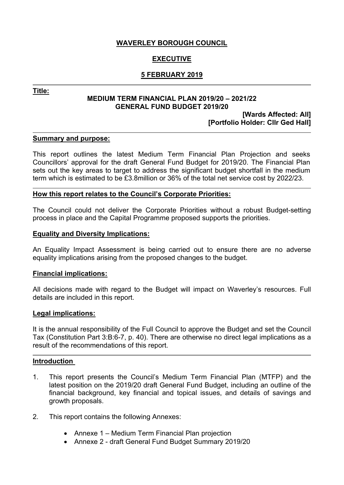## **WAVERLEY BOROUGH COUNCIL**

### **EXECUTIVE**

### **5 FEBRUARY 2019**

**Title:**

#### **MEDIUM TERM FINANCIAL PLAN 2019/20 – 2021/22 GENERAL FUND BUDGET 2019/20**

#### **[Wards Affected: All] [Portfolio Holder: Cllr Ged Hall]**

#### **Summary and purpose:**

This report outlines the latest Medium Term Financial Plan Projection and seeks Councillors' approval for the draft General Fund Budget for 2019/20. The Financial Plan sets out the key areas to target to address the significant budget shortfall in the medium term which is estimated to be £3.8million or 36% of the total net service cost by 2022/23.

#### **How this report relates to the Council's Corporate Priorities:**

The Council could not deliver the Corporate Priorities without a robust Budget-setting process in place and the Capital Programme proposed supports the priorities.

#### **Equality and Diversity Implications:**

An Equality Impact Assessment is being carried out to ensure there are no adverse equality implications arising from the proposed changes to the budget.

#### **Financial implications:**

All decisions made with regard to the Budget will impact on Waverley's resources. Full details are included in this report.

#### **Legal implications:**

It is the annual responsibility of the Full Council to approve the Budget and set the Council Tax (Constitution Part 3:B:6-7, p. 40). There are otherwise no direct legal implications as a result of the recommendations of this report.

#### **Introduction**

- 1. This report presents the Council's Medium Term Financial Plan (MTFP) and the latest position on the 2019/20 draft General Fund Budget, including an outline of the financial background, key financial and topical issues, and details of savings and growth proposals.
- 2. This report contains the following Annexes:
	- Annexe 1 Medium Term Financial Plan projection
	- Annexe 2 draft General Fund Budget Summary 2019/20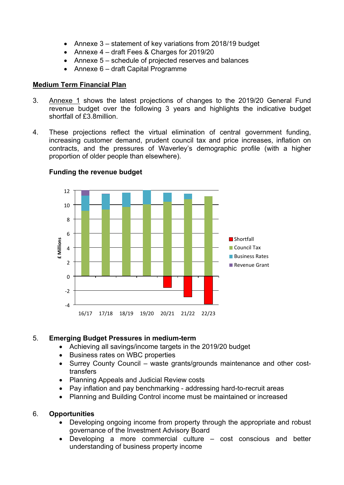- Annexe 3 statement of key variations from 2018/19 budget
- Annexe 4 draft Fees & Charges for 2019/20
- Annexe 5 schedule of projected reserves and balances
- Annexe 6 draft Capital Programme

## **Medium Term Financial Plan**

- 3. Annexe 1 shows the latest projections of changes to the 2019/20 General Fund revenue budget over the following 3 years and highlights the indicative budget shortfall of £3.8million.
- 4. These projections reflect the virtual elimination of central government funding, increasing customer demand, prudent council tax and price increases, inflation on contracts, and the pressures of Waverley's demographic profile (with a higher proportion of older people than elsewhere).



## **Funding the revenue budget**

## 5. **Emerging Budget Pressures in medium-term**

- Achieving all savings/income targets in the 2019/20 budget
- Business rates on WBC properties
- Surrey County Council waste grants/grounds maintenance and other costtransfers
- Planning Appeals and Judicial Review costs
- Pay inflation and pay benchmarking addressing hard-to-recruit areas
- Planning and Building Control income must be maintained or increased

#### 6. **Opportunities**

- Developing ongoing income from property through the appropriate and robust governance of the Investment Advisory Board
- Developing a more commercial culture cost conscious and better understanding of business property income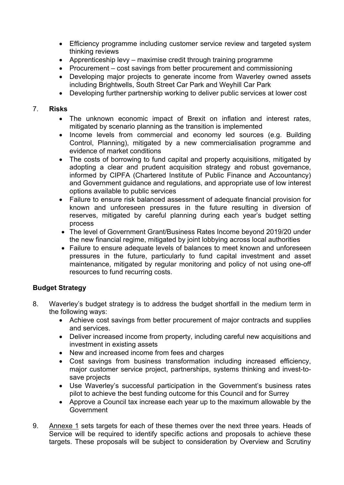- Efficiency programme including customer service review and targeted system thinking reviews
- Apprenticeship levy maximise credit through training programme
- Procurement cost savings from better procurement and commissioning
- Developing major projects to generate income from Waverley owned assets including Brightwells, South Street Car Park and Weyhill Car Park
- Developing further partnership working to deliver public services at lower cost

### 7. **Risks**

- The unknown economic impact of Brexit on inflation and interest rates, mitigated by scenario planning as the transition is implemented
- Income levels from commercial and economy led sources (e.g. Building Control, Planning), mitigated by a new commercialisation programme and evidence of market conditions
- The costs of borrowing to fund capital and property acquisitions, mitigated by adopting a clear and prudent acquisition strategy and robust governance, informed by CIPFA (Chartered Institute of Public Finance and Accountancy) and Government guidance and regulations, and appropriate use of low interest options available to public services
- Failure to ensure risk balanced assessment of adequate financial provision for known and unforeseen pressures in the future resulting in diversion of reserves, mitigated by careful planning during each year's budget setting process
- The level of Government Grant/Business Rates Income beyond 2019/20 under the new financial regime, mitigated by joint lobbying across local authorities
- Failure to ensure adequate levels of balances to meet known and unforeseen pressures in the future, particularly to fund capital investment and asset maintenance, mitigated by regular monitoring and policy of not using one-off resources to fund recurring costs.

## **Budget Strategy**

- 8. Waverley's budget strategy is to address the budget shortfall in the medium term in the following ways:
	- Achieve cost savings from better procurement of major contracts and supplies and services.
	- Deliver increased income from property, including careful new acquisitions and investment in existing assets
	- New and increased income from fees and charges
	- Cost savings from business transformation including increased efficiency, major customer service project, partnerships, systems thinking and invest-tosave projects
	- Use Waverley's successful participation in the Government's business rates pilot to achieve the best funding outcome for this Council and for Surrey
	- Approve a Council tax increase each year up to the maximum allowable by the Government
- 9. Annexe 1 sets targets for each of these themes over the next three years. Heads of Service will be required to identify specific actions and proposals to achieve these targets. These proposals will be subject to consideration by Overview and Scrutiny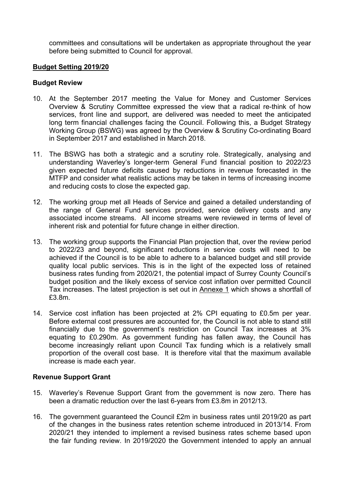committees and consultations will be undertaken as appropriate throughout the year before being submitted to Council for approval.

#### **Budget Setting 2019/20**

#### **Budget Review**

- 10. At the September 2017 meeting the Value for Money and Customer Services Overview & Scrutiny Committee expressed the view that a radical re-think of how services, front line and support, are delivered was needed to meet the anticipated long term financial challenges facing the Council. Following this, a Budget Strategy Working Group (BSWG) was agreed by the Overview & Scrutiny Co-ordinating Board in September 2017 and established in March 2018.
- 11. The BSWG has both a strategic and a scrutiny role. Strategically, analysing and understanding Waverley's longer-term General Fund financial position to 2022/23 given expected future deficits caused by reductions in revenue forecasted in the MTFP and consider what realistic actions may be taken in terms of increasing income and reducing costs to close the expected gap.
- 12. The working group met all Heads of Service and gained a detailed understanding of the range of General Fund services provided, service delivery costs and any associated income streams. All income streams were reviewed in terms of level of inherent risk and potential for future change in either direction.
- 13. The working group supports the Financial Plan projection that, over the review period to 2022/23 and beyond, significant reductions in service costs will need to be achieved if the Council is to be able to adhere to a balanced budget and still provide quality local public services. This is in the light of the expected loss of retained business rates funding from 2020/21, the potential impact of Surrey County Council's budget position and the likely excess of service cost inflation over permitted Council Tax increases. The latest projection is set out in Annexe 1 which shows a shortfall of £3.8m.
- 14. Service cost inflation has been projected at 2% CPI equating to £0.5m per year. Before external cost pressures are accounted for, the Council is not able to stand still financially due to the government's restriction on Council Tax increases at 3% equating to £0.290m. As government funding has fallen away, the Council has become increasingly reliant upon Council Tax funding which is a relatively small proportion of the overall cost base. It is therefore vital that the maximum available increase is made each year.

#### **Revenue Support Grant**

- 15. Waverley's Revenue Support Grant from the government is now zero. There has been a dramatic reduction over the last 6-years from £3.8m in 2012/13.
- 16. The government guaranteed the Council £2m in business rates until 2019/20 as part of the changes in the business rates retention scheme introduced in 2013/14. From 2020/21 they intended to implement a revised business rates scheme based upon the fair funding review. In 2019/2020 the Government intended to apply an annual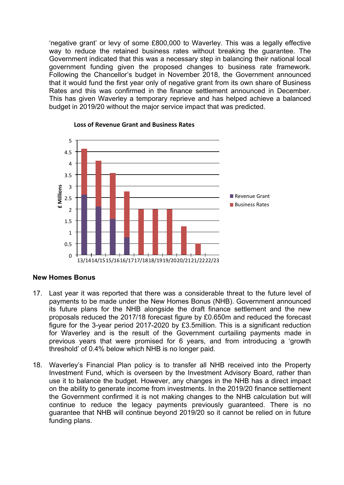'negative grant' or levy of some £800,000 to Waverley. This was a legally effective way to reduce the retained business rates without breaking the guarantee. The Government indicated that this was a necessary step in balancing their national local government funding given the proposed changes to business rate framework. Following the Chancellor's budget in November 2018, the Government announced that it would fund the first year only of negative grant from its own share of Business Rates and this was confirmed in the finance settlement announced in December. This has given Waverley a temporary reprieve and has helped achieve a balanced budget in 2019/20 without the major service impact that was predicted.



#### **Loss of Revenue Grant and Business Rates**

#### **New Homes Bonus**

- 17. Last year it was reported that there was a considerable threat to the future level of payments to be made under the New Homes Bonus (NHB). Government announced its future plans for the NHB alongside the draft finance settlement and the new proposals reduced the 2017/18 forecast figure by £0.650m and reduced the forecast figure for the 3-year period 2017-2020 by £3.5million. This is a significant reduction for Waverley and is the result of the Government curtailing payments made in previous years that were promised for 6 years, and from introducing a 'growth threshold' of 0.4% below which NHB is no longer paid.
- 18. Waverley's Financial Plan policy is to transfer all NHB received into the Property Investment Fund, which is overseen by the Investment Advisory Board, rather than use it to balance the budget. However, any changes in the NHB has a direct impact on the ability to generate income from investments. In the 2019/20 finance settlement the Government confirmed it is not making changes to the NHB calculation but will continue to reduce the legacy payments previously guaranteed. There is no guarantee that NHB will continue beyond 2019/20 so it cannot be relied on in future funding plans.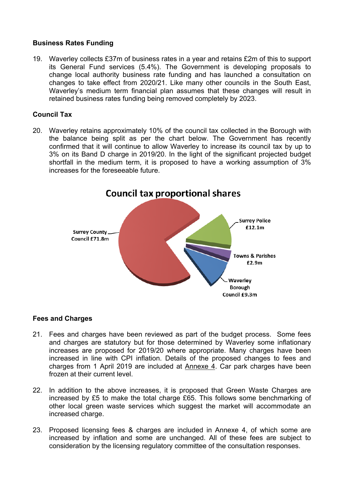## **Business Rates Funding**

19. Waverley collects £37m of business rates in a year and retains £2m of this to support its General Fund services (5.4%). The Government is developing proposals to change local authority business rate funding and has launched a consultation on changes to take effect from 2020/21. Like many other councils in the South East, Waverley's medium term financial plan assumes that these changes will result in retained business rates funding being removed completely by 2023.

### **Council Tax**

20. Waverley retains approximately 10% of the council tax collected in the Borough with the balance being split as per the chart below. The Government has recently confirmed that it will continue to allow Waverley to increase its council tax by up to 3% on its Band D charge in 2019/20. In the light of the significant projected budget shortfall in the medium term, it is proposed to have a working assumption of 3% increases for the foreseeable future.



#### **Fees and Charges**

- 21. Fees and charges have been reviewed as part of the budget process. Some fees and charges are statutory but for those determined by Waverley some inflationary increases are proposed for 2019/20 where appropriate. Many charges have been increased in line with CPI inflation. Details of the proposed changes to fees and charges from 1 April 2019 are included at Annexe 4. Car park charges have been frozen at their current level.
- 22. In addition to the above increases, it is proposed that Green Waste Charges are increased by £5 to make the total charge £65. This follows some benchmarking of other local green waste services which suggest the market will accommodate an increased charge.
- 23. Proposed licensing fees & charges are included in Annexe 4, of which some are increased by inflation and some are unchanged. All of these fees are subject to consideration by the licensing regulatory committee of the consultation responses.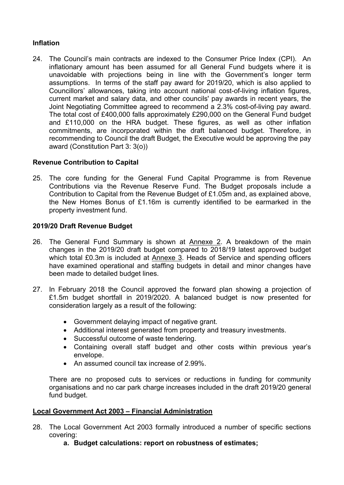# **Inflation**

24. The Council's main contracts are indexed to the Consumer Price Index (CPI). An inflationary amount has been assumed for all General Fund budgets where it is unavoidable with projections being in line with the Government's longer term assumptions. In terms of the staff pay award for 2019/20, which is also applied to Councillors' allowances, taking into account national cost-of-living inflation figures, current market and salary data, and other councils' pay awards in recent years, the Joint Negotiating Committee agreed to recommend a 2.3% cost-of-living pay award. The total cost of £400,000 falls approximately £290,000 on the General Fund budget and £110,000 on the HRA budget. These figures, as well as other inflation commitments, are incorporated within the draft balanced budget. Therefore, in recommending to Council the draft Budget, the Executive would be approving the pay award (Constitution Part 3: 3(o))

### **Revenue Contribution to Capital**

25. The core funding for the General Fund Capital Programme is from Revenue Contributions via the Revenue Reserve Fund. The Budget proposals include a Contribution to Capital from the Revenue Budget of £1.05m and, as explained above, the New Homes Bonus of £1.16m is currently identified to be earmarked in the property investment fund.

### **2019/20 Draft Revenue Budget**

- 26. The General Fund Summary is shown at Annexe 2. A breakdown of the main changes in the 2019/20 draft budget compared to 2018/19 latest approved budget which total £0.3m is included at Annexe 3. Heads of Service and spending officers have examined operational and staffing budgets in detail and minor changes have been made to detailed budget lines.
- 27. In February 2018 the Council approved the forward plan showing a projection of £1.5m budget shortfall in 2019/2020. A balanced budget is now presented for consideration largely as a result of the following:
	- Government delaying impact of negative grant.
	- Additional interest generated from property and treasury investments.
	- Successful outcome of waste tendering.
	- Containing overall staff budget and other costs within previous year's envelope.
	- An assumed council tax increase of 2.99%.

There are no proposed cuts to services or reductions in funding for community organisations and no car park charge increases included in the draft 2019/20 general fund budget.

#### **Local Government Act 2003 – Financial Administration**

- 28. The Local Government Act 2003 formally introduced a number of specific sections covering:
	- **a. Budget calculations: report on robustness of estimates;**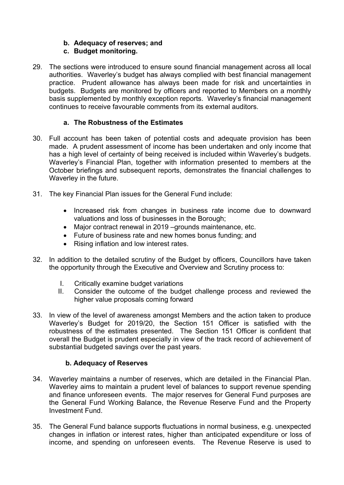# **b. Adequacy of reserves; and**

# **c. Budget monitoring.**

29. The sections were introduced to ensure sound financial management across all local authorities. Waverley's budget has always complied with best financial management practice. Prudent allowance has always been made for risk and uncertainties in budgets. Budgets are monitored by officers and reported to Members on a monthly basis supplemented by monthly exception reports. Waverley's financial management continues to receive favourable comments from its external auditors.

## **a. The Robustness of the Estimates**

- 30. Full account has been taken of potential costs and adequate provision has been made. A prudent assessment of income has been undertaken and only income that has a high level of certainty of being received is included within Waverley's budgets. Waverley's Financial Plan, together with information presented to members at the October briefings and subsequent reports, demonstrates the financial challenges to Waverley in the future.
- 31. The key Financial Plan issues for the General Fund include:
	- Increased risk from changes in business rate income due to downward valuations and loss of businesses in the Borough;
	- Major contract renewal in 2019 –grounds maintenance, etc.
	- Future of business rate and new homes bonus funding; and
	- Rising inflation and low interest rates.
- 32. In addition to the detailed scrutiny of the Budget by officers, Councillors have taken the opportunity through the Executive and Overview and Scrutiny process to:
	- I. Critically examine budget variations
	- II. Consider the outcome of the budget challenge process and reviewed the higher value proposals coming forward
- 33. In view of the level of awareness amongst Members and the action taken to produce Waverley's Budget for 2019/20, the Section 151 Officer is satisfied with the robustness of the estimates presented. The Section 151 Officer is confident that overall the Budget is prudent especially in view of the track record of achievement of substantial budgeted savings over the past years.

## **b. Adequacy of Reserves**

- 34. Waverley maintains a number of reserves, which are detailed in the Financial Plan. Waverley aims to maintain a prudent level of balances to support revenue spending and finance unforeseen events. The major reserves for General Fund purposes are the General Fund Working Balance, the Revenue Reserve Fund and the Property Investment Fund.
- 35. The General Fund balance supports fluctuations in normal business, e.g. unexpected changes in inflation or interest rates, higher than anticipated expenditure or loss of income, and spending on unforeseen events. The Revenue Reserve is used to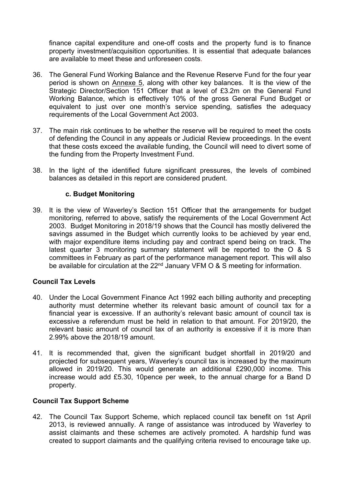finance capital expenditure and one-off costs and the property fund is to finance property investment/acquisition opportunities. It is essential that adequate balances are available to meet these and unforeseen costs.

- 36. The General Fund Working Balance and the Revenue Reserve Fund for the four year period is shown on Annexe 5, along with other key balances. It is the view of the Strategic Director/Section 151 Officer that a level of £3.2m on the General Fund Working Balance, which is effectively 10% of the gross General Fund Budget or equivalent to just over one month's service spending, satisfies the adequacy requirements of the Local Government Act 2003.
- 37. The main risk continues to be whether the reserve will be required to meet the costs of defending the Council in any appeals or Judicial Review proceedings. In the event that these costs exceed the available funding, the Council will need to divert some of the funding from the Property Investment Fund.
- 38. In the light of the identified future significant pressures, the levels of combined balances as detailed in this report are considered prudent.

### **c. Budget Monitoring**

39. It is the view of Waverley's Section 151 Officer that the arrangements for budget monitoring, referred to above, satisfy the requirements of the Local Government Act 2003. Budget Monitoring in 2018/19 shows that the Council has mostly delivered the savings assumed in the Budget which currently looks to be achieved by year end, with major expenditure items including pay and contract spend being on track. The latest quarter 3 monitoring summary statement will be reported to the O & S committees in February as part of the performance management report. This will also be available for circulation at the  $22<sup>nd</sup>$  January VFM O & S meeting for information.

## **Council Tax Levels**

- 40. Under the Local Government Finance Act 1992 each billing authority and precepting authority must determine whether its relevant basic amount of council tax for a financial year is excessive. If an authority's relevant basic amount of council tax is excessive a referendum must be held in relation to that amount. For 2019/20, the relevant basic amount of council tax of an authority is excessive if it is more than 2.99% above the 2018/19 amount.
- 41. It is recommended that, given the significant budget shortfall in 2019/20 and projected for subsequent years, Waverley's council tax is increased by the maximum allowed in 2019/20. This would generate an additional £290,000 income. This increase would add £5.30, 10pence per week, to the annual charge for a Band D property.

## **Council Tax Support Scheme**

42. The Council Tax Support Scheme, which replaced council tax benefit on 1st April 2013, is reviewed annually. A range of assistance was introduced by Waverley to assist claimants and these schemes are actively promoted. A hardship fund was created to support claimants and the qualifying criteria revised to encourage take up.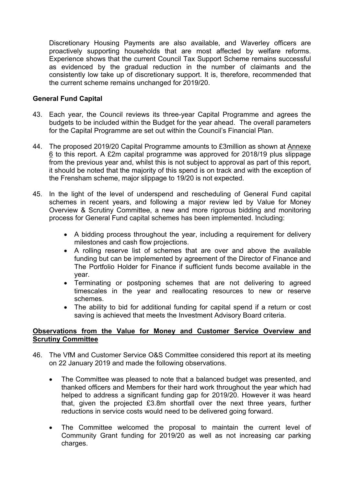Discretionary Housing Payments are also available, and Waverley officers are proactively supporting households that are most affected by welfare reforms. Experience shows that the current Council Tax Support Scheme remains successful as evidenced by the gradual reduction in the number of claimants and the consistently low take up of discretionary support. It is, therefore, recommended that the current scheme remains unchanged for 2019/20.

### **General Fund Capital**

- 43. Each year, the Council reviews its three-year Capital Programme and agrees the budgets to be included within the Budget for the year ahead. The overall parameters for the Capital Programme are set out within the Council's Financial Plan.
- 44. The proposed 2019/20 Capital Programme amounts to £3million as shown at Annexe 6 to this report. A £2m capital programme was approved for 2018/19 plus slippage from the previous year and, whilst this is not subject to approval as part of this report, it should be noted that the majority of this spend is on track and with the exception of the Frensham scheme, major slippage to 19/20 is not expected.
- 45. In the light of the level of underspend and rescheduling of General Fund capital schemes in recent years, and following a major review led by Value for Money Overview & Scrutiny Committee, a new and more rigorous bidding and monitoring process for General Fund capital schemes has been implemented. Including:
	- A bidding process throughout the year, including a requirement for delivery milestones and cash flow projections.
	- A rolling reserve list of schemes that are over and above the available funding but can be implemented by agreement of the Director of Finance and The Portfolio Holder for Finance if sufficient funds become available in the year.
	- Terminating or postponing schemes that are not delivering to agreed timescales in the year and reallocating resources to new or reserve schemes.
	- The ability to bid for additional funding for capital spend if a return or cost saving is achieved that meets the Investment Advisory Board criteria.

### **Observations from the Value for Money and Customer Service Overview and Scrutiny Committee**

- 46. The VfM and Customer Service O&S Committee considered this report at its meeting on 22 January 2019 and made the following observations.
	- The Committee was pleased to note that a balanced budget was presented, and thanked officers and Members for their hard work throughout the year which had helped to address a significant funding gap for 2019/20. However it was heard that, given the projected £3.8m shortfall over the next three years, further reductions in service costs would need to be delivered going forward.
	- The Committee welcomed the proposal to maintain the current level of Community Grant funding for 2019/20 as well as not increasing car parking charges.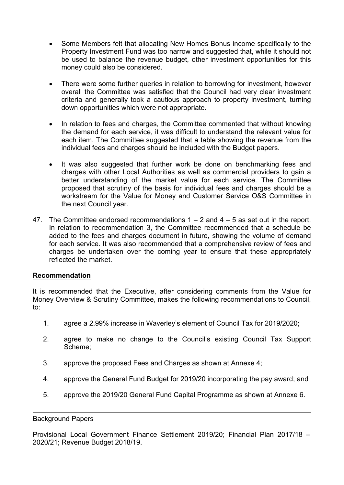- Some Members felt that allocating New Homes Bonus income specifically to the Property Investment Fund was too narrow and suggested that, while it should not be used to balance the revenue budget, other investment opportunities for this money could also be considered.
- There were some further queries in relation to borrowing for investment, however overall the Committee was satisfied that the Council had very clear investment criteria and generally took a cautious approach to property investment, turning down opportunities which were not appropriate.
- In relation to fees and charges, the Committee commented that without knowing the demand for each service, it was difficult to understand the relevant value for each item. The Committee suggested that a table showing the revenue from the individual fees and charges should be included with the Budget papers.
- It was also suggested that further work be done on benchmarking fees and charges with other Local Authorities as well as commercial providers to gain a better understanding of the market value for each service. The Committee proposed that scrutiny of the basis for individual fees and charges should be a workstream for the Value for Money and Customer Service O&S Committee in the next Council year.
- 47. The Committee endorsed recommendations 1 2 and 4 5 as set out in the report. In relation to recommendation 3, the Committee recommended that a schedule be added to the fees and charges document in future, showing the volume of demand for each service. It was also recommended that a comprehensive review of fees and charges be undertaken over the coming year to ensure that these appropriately reflected the market.

#### **Recommendation**

It is recommended that the Executive, after considering comments from the Value for Money Overview & Scrutiny Committee, makes the following recommendations to Council, to:

- 1. agree a 2.99% increase in Waverley's element of Council Tax for 2019/2020;
- 2. agree to make no change to the Council's existing Council Tax Support Scheme;
- 3. approve the proposed Fees and Charges as shown at Annexe 4;
- 4. approve the General Fund Budget for 2019/20 incorporating the pay award; and
- 5. approve the 2019/20 General Fund Capital Programme as shown at Annexe 6.

#### Background Papers

Provisional Local Government Finance Settlement 2019/20; Financial Plan 2017/18 – 2020/21; Revenue Budget 2018/19.